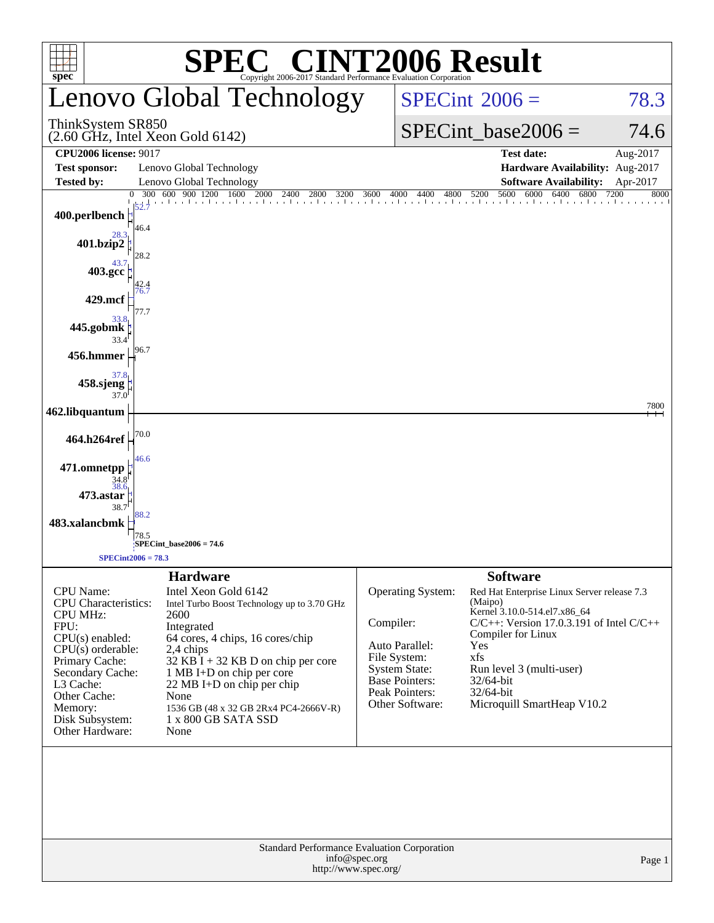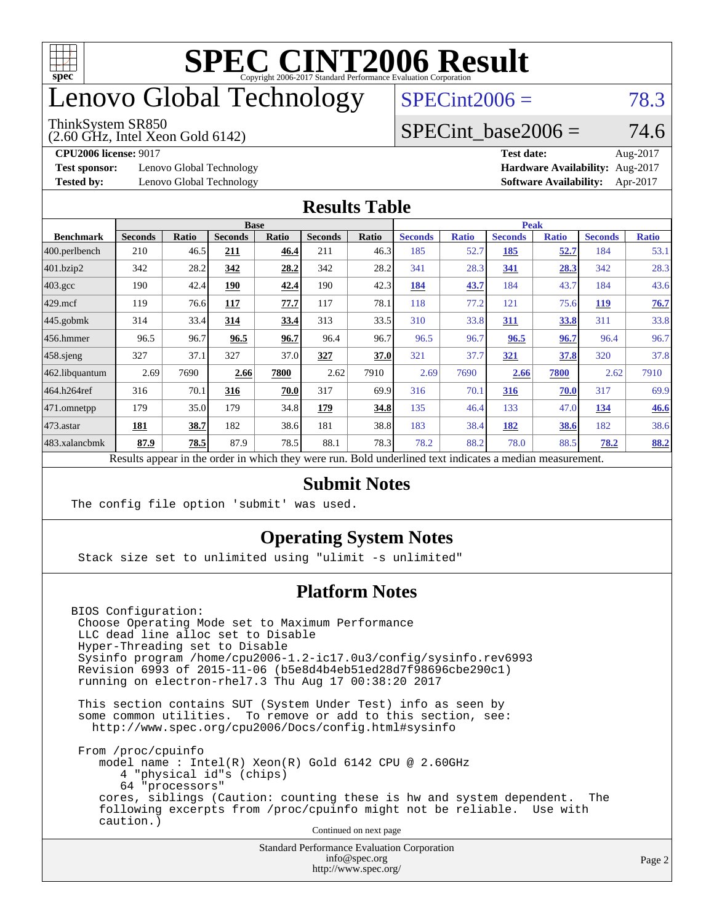

## enovo Global Technology

#### ThinkSystem SR850

(2.60 GHz, Intel Xeon Gold 6142)

 $SPECint2006 = 78.3$  $SPECint2006 = 78.3$ 

#### SPECint base2006 =  $74.6$

**[Test sponsor:](http://www.spec.org/auto/cpu2006/Docs/result-fields.html#Testsponsor)** Lenovo Global Technology **[Hardware Availability:](http://www.spec.org/auto/cpu2006/Docs/result-fields.html#HardwareAvailability)** Aug-2017

**[CPU2006 license:](http://www.spec.org/auto/cpu2006/Docs/result-fields.html#CPU2006license)** 9017 **[Test date:](http://www.spec.org/auto/cpu2006/Docs/result-fields.html#Testdate)** Aug-2017 **[Tested by:](http://www.spec.org/auto/cpu2006/Docs/result-fields.html#Testedby)** Lenovo Global Technology **[Software Availability:](http://www.spec.org/auto/cpu2006/Docs/result-fields.html#SoftwareAvailability)** Apr-2017

#### **[Results Table](http://www.spec.org/auto/cpu2006/Docs/result-fields.html#ResultsTable)**

|                                                                                                          |                | <b>Base</b><br><b>Peak</b> |                |       |                |       |                |              |                |              |                |              |
|----------------------------------------------------------------------------------------------------------|----------------|----------------------------|----------------|-------|----------------|-------|----------------|--------------|----------------|--------------|----------------|--------------|
| <b>Benchmark</b>                                                                                         | <b>Seconds</b> | Ratio                      | <b>Seconds</b> | Ratio | <b>Seconds</b> | Ratio | <b>Seconds</b> | <b>Ratio</b> | <b>Seconds</b> | <b>Ratio</b> | <b>Seconds</b> | <b>Ratio</b> |
| 400.perlbench                                                                                            | 210            | 46.5                       | 211            | 46.4  | 211            | 46.3  | 185            | 52.7         | <u>185</u>     | 52.7         | 184            | 53.1         |
| 401.bzip2                                                                                                | 342            | 28.2                       | 342            | 28.2  | 342            | 28.2  | 341            | 28.3         | 341            | 28.3         | 342            | 28.3         |
| $403.\mathrm{gcc}$                                                                                       | 190            | 42.4                       | 190            | 42.4  | 190            | 42.3  | 184            | 43.7         | 184            | 43.7         | 184            | 43.6         |
| $429$ .mcf                                                                                               | 119            | 76.6                       | 117            | 77.7  | 117            | 78.1  | 118            | 77.2         | 121            | 75.6         | <b>119</b>     | 76.7         |
| $445$ .gobmk                                                                                             | 314            | 33.4                       | 314            | 33.4  | 313            | 33.5  | 310            | 33.8         | 311            | 33.8         | 311            | 33.8         |
| $456.$ hmmer                                                                                             | 96.5           | 96.7                       | 96.5           | 96.7  | 96.4           | 96.7  | 96.5           | 96.7         | 96.5           | 96.7         | 96.4           | 96.7         |
| $458$ .sjeng                                                                                             | 327            | 37.1                       | 327            | 37.0  | 327            | 37.0  | 321            | 37.7         | 321            | 37.8         | 320            | 37.8         |
| 462.libquantum                                                                                           | 2.69           | 7690                       | 2.66           | 7800  | 2.62           | 7910  | 2.69           | 7690         | 2.66           | 7800         | 2.62           | 7910         |
| 464.h264ref                                                                                              | 316            | 70.1                       | 316            | 70.0  | 317            | 69.9  | 316            | 70.1         | 316            | 70.0         | 317            | 69.9         |
| $ 471$ .omnetpp                                                                                          | 179            | 35.0                       | 179            | 34.8  | 179            | 34.8  | 135            | 46.4         | 133            | 47.0         | 134            | 46.6         |
| $473$ . astar                                                                                            | 181            | 38.7                       | 182            | 38.6  | 181            | 38.8  | 183            | 38.4         | 182            | 38.6         | 182            | 38.6         |
| 483.xalancbmk                                                                                            | 87.9           | 78.5                       | 87.9           | 78.5  | 88.1           | 78.3  | 78.2           | 88.2         | 78.0           | 88.5         | 78.2           | 88.2         |
| Results appear in the order in which they were run. Bold underlined text indicates a median measurement. |                |                            |                |       |                |       |                |              |                |              |                |              |

#### **[Submit Notes](http://www.spec.org/auto/cpu2006/Docs/result-fields.html#SubmitNotes)**

The config file option 'submit' was used.

#### **[Operating System Notes](http://www.spec.org/auto/cpu2006/Docs/result-fields.html#OperatingSystemNotes)**

Stack size set to unlimited using "ulimit -s unlimited"

#### **[Platform Notes](http://www.spec.org/auto/cpu2006/Docs/result-fields.html#PlatformNotes)**

BIOS Configuration: Choose Operating Mode set to Maximum Performance LLC dead line alloc set to Disable Hyper-Threading set to Disable Sysinfo program /home/cpu2006-1.2-ic17.0u3/config/sysinfo.rev6993 Revision 6993 of 2015-11-06 (b5e8d4b4eb51ed28d7f98696cbe290c1) running on electron-rhel7.3 Thu Aug 17 00:38:20 2017

 This section contains SUT (System Under Test) info as seen by some common utilities. To remove or add to this section, see: <http://www.spec.org/cpu2006/Docs/config.html#sysinfo>

 From /proc/cpuinfo model name : Intel(R) Xeon(R) Gold 6142 CPU @ 2.60GHz 4 "physical id"s (chips) 64 "processors" cores, siblings (Caution: counting these is hw and system dependent. The following excerpts from /proc/cpuinfo might not be reliable. Use with caution.)

Continued on next page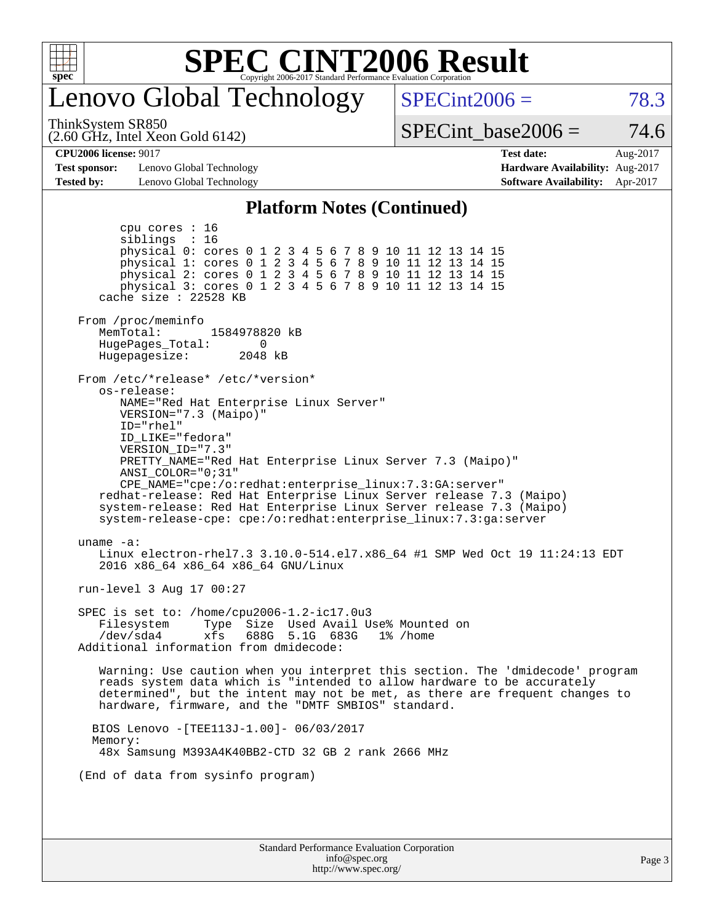

## enovo Global Technology

 $SPECint2006 = 78.3$  $SPECint2006 = 78.3$ 

(2.60 GHz, Intel Xeon Gold 6142) ThinkSystem SR850

SPECint base2006 =  $74.6$ 

**[Test sponsor:](http://www.spec.org/auto/cpu2006/Docs/result-fields.html#Testsponsor)** Lenovo Global Technology **[Hardware Availability:](http://www.spec.org/auto/cpu2006/Docs/result-fields.html#HardwareAvailability)** Aug-2017 **[Tested by:](http://www.spec.org/auto/cpu2006/Docs/result-fields.html#Testedby)** Lenovo Global Technology **[Software Availability:](http://www.spec.org/auto/cpu2006/Docs/result-fields.html#SoftwareAvailability)** Apr-2017

**[CPU2006 license:](http://www.spec.org/auto/cpu2006/Docs/result-fields.html#CPU2006license)** 9017 **[Test date:](http://www.spec.org/auto/cpu2006/Docs/result-fields.html#Testdate)** Aug-2017

#### **[Platform Notes \(Continued\)](http://www.spec.org/auto/cpu2006/Docs/result-fields.html#PlatformNotes)**

Standard Performance Evaluation Corporation [info@spec.org](mailto:info@spec.org) <http://www.spec.org/> cpu cores : 16 siblings : 16 physical 0: cores 0 1 2 3 4 5 6 7 8 9 10 11 12 13 14 15 physical 1: cores 0 1 2 3 4 5 6 7 8 9 10 11 12 13 14 15 physical 2: cores 0 1 2 3 4 5 6 7 8 9 10 11 12 13 14 15 physical 3: cores 0 1 2 3 4 5 6 7 8 9 10 11 12 13 14 15 cache size : 22528 KB From /proc/meminfo MemTotal: 1584978820 kB<br>HugePages Total: 0 HugePages\_Total: 0 Hugepagesize: 2048 kB From /etc/\*release\* /etc/\*version\* os-release: NAME="Red Hat Enterprise Linux Server" VERSION="7.3 (Maipo)" ID="rhel" ID\_LIKE="fedora" VERSION\_ID="7.3" PRETTY\_NAME="Red Hat Enterprise Linux Server 7.3 (Maipo)" ANSI\_COLOR="0;31" CPE\_NAME="cpe:/o:redhat:enterprise\_linux:7.3:GA:server" redhat-release: Red Hat Enterprise Linux Server release 7.3 (Maipo) system-release: Red Hat Enterprise Linux Server release 7.3 (Maipo) system-release-cpe: cpe:/o:redhat:enterprise\_linux:7.3:ga:server uname -a: Linux electron-rhel7.3 3.10.0-514.el7.x86\_64 #1 SMP Wed Oct 19 11:24:13 EDT 2016 x86\_64 x86\_64 x86\_64 GNU/Linux run-level 3 Aug 17 00:27 SPEC is set to: /home/cpu2006-1.2-ic17.0u3 Filesystem Type Size Used Avail Use% Mounted on /dev/sda4 xfs 688G 5.1G 683G 1% /home Additional information from dmidecode: Warning: Use caution when you interpret this section. The 'dmidecode' program reads system data which is "intended to allow hardware to be accurately determined", but the intent may not be met, as there are frequent changes to hardware, firmware, and the "DMTF SMBIOS" standard. BIOS Lenovo -[TEE113J-1.00]- 06/03/2017 Memory: 48x Samsung M393A4K40BB2-CTD 32 GB 2 rank 2666 MHz (End of data from sysinfo program)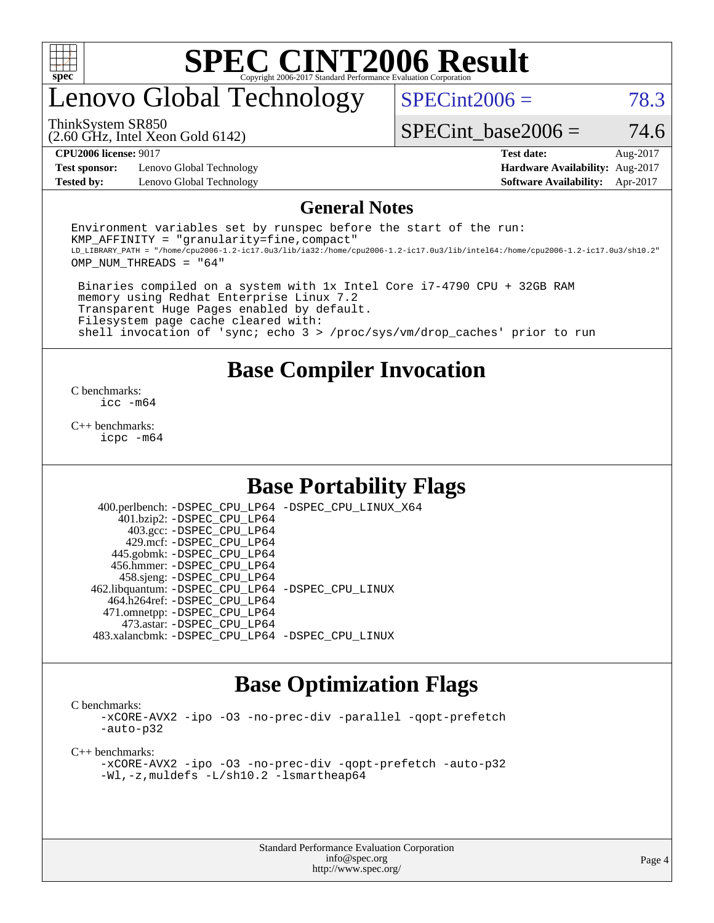

## enovo Global Technology

 $SPECint2006 = 78.3$  $SPECint2006 = 78.3$ 

(2.60 GHz, Intel Xeon Gold 6142) ThinkSystem SR850

SPECint base2006 =  $74.6$ 

**[Test sponsor:](http://www.spec.org/auto/cpu2006/Docs/result-fields.html#Testsponsor)** Lenovo Global Technology **[Hardware Availability:](http://www.spec.org/auto/cpu2006/Docs/result-fields.html#HardwareAvailability)** Aug-2017 **[Tested by:](http://www.spec.org/auto/cpu2006/Docs/result-fields.html#Testedby)** Lenovo Global Technology **[Software Availability:](http://www.spec.org/auto/cpu2006/Docs/result-fields.html#SoftwareAvailability)** Apr-2017

**[CPU2006 license:](http://www.spec.org/auto/cpu2006/Docs/result-fields.html#CPU2006license)** 9017 **[Test date:](http://www.spec.org/auto/cpu2006/Docs/result-fields.html#Testdate)** Aug-2017

#### **[General Notes](http://www.spec.org/auto/cpu2006/Docs/result-fields.html#GeneralNotes)**

Environment variables set by runspec before the start of the run:  $KMP$  AFFINITY = "granularity=fine, compact" LD\_LIBRARY\_PATH = "/home/cpu2006-1.2-ic17.0u3/lib/ia32:/home/cpu2006-1.2-ic17.0u3/lib/intel64:/home/cpu2006-1.2-ic17.0u3/sh10.2" OMP\_NUM\_THREADS = "64"

 Binaries compiled on a system with 1x Intel Core i7-4790 CPU + 32GB RAM memory using Redhat Enterprise Linux 7.2 Transparent Huge Pages enabled by default. Filesystem page cache cleared with: shell invocation of 'sync; echo 3 > /proc/sys/vm/drop\_caches' prior to run

#### **[Base Compiler Invocation](http://www.spec.org/auto/cpu2006/Docs/result-fields.html#BaseCompilerInvocation)**

[C benchmarks](http://www.spec.org/auto/cpu2006/Docs/result-fields.html#Cbenchmarks): [icc -m64](http://www.spec.org/cpu2006/results/res2017q4/cpu2006-20170918-49962.flags.html#user_CCbase_intel_icc_64bit_bda6cc9af1fdbb0edc3795bac97ada53)

[C++ benchmarks:](http://www.spec.org/auto/cpu2006/Docs/result-fields.html#CXXbenchmarks) [icpc -m64](http://www.spec.org/cpu2006/results/res2017q4/cpu2006-20170918-49962.flags.html#user_CXXbase_intel_icpc_64bit_fc66a5337ce925472a5c54ad6a0de310)

#### **[Base Portability Flags](http://www.spec.org/auto/cpu2006/Docs/result-fields.html#BasePortabilityFlags)**

 400.perlbench: [-DSPEC\\_CPU\\_LP64](http://www.spec.org/cpu2006/results/res2017q4/cpu2006-20170918-49962.flags.html#b400.perlbench_basePORTABILITY_DSPEC_CPU_LP64) [-DSPEC\\_CPU\\_LINUX\\_X64](http://www.spec.org/cpu2006/results/res2017q4/cpu2006-20170918-49962.flags.html#b400.perlbench_baseCPORTABILITY_DSPEC_CPU_LINUX_X64) 401.bzip2: [-DSPEC\\_CPU\\_LP64](http://www.spec.org/cpu2006/results/res2017q4/cpu2006-20170918-49962.flags.html#suite_basePORTABILITY401_bzip2_DSPEC_CPU_LP64) 403.gcc: [-DSPEC\\_CPU\\_LP64](http://www.spec.org/cpu2006/results/res2017q4/cpu2006-20170918-49962.flags.html#suite_basePORTABILITY403_gcc_DSPEC_CPU_LP64) 429.mcf: [-DSPEC\\_CPU\\_LP64](http://www.spec.org/cpu2006/results/res2017q4/cpu2006-20170918-49962.flags.html#suite_basePORTABILITY429_mcf_DSPEC_CPU_LP64) 445.gobmk: [-DSPEC\\_CPU\\_LP64](http://www.spec.org/cpu2006/results/res2017q4/cpu2006-20170918-49962.flags.html#suite_basePORTABILITY445_gobmk_DSPEC_CPU_LP64) 456.hmmer: [-DSPEC\\_CPU\\_LP64](http://www.spec.org/cpu2006/results/res2017q4/cpu2006-20170918-49962.flags.html#suite_basePORTABILITY456_hmmer_DSPEC_CPU_LP64) 458.sjeng: [-DSPEC\\_CPU\\_LP64](http://www.spec.org/cpu2006/results/res2017q4/cpu2006-20170918-49962.flags.html#suite_basePORTABILITY458_sjeng_DSPEC_CPU_LP64) 462.libquantum: [-DSPEC\\_CPU\\_LP64](http://www.spec.org/cpu2006/results/res2017q4/cpu2006-20170918-49962.flags.html#suite_basePORTABILITY462_libquantum_DSPEC_CPU_LP64) [-DSPEC\\_CPU\\_LINUX](http://www.spec.org/cpu2006/results/res2017q4/cpu2006-20170918-49962.flags.html#b462.libquantum_baseCPORTABILITY_DSPEC_CPU_LINUX) 464.h264ref: [-DSPEC\\_CPU\\_LP64](http://www.spec.org/cpu2006/results/res2017q4/cpu2006-20170918-49962.flags.html#suite_basePORTABILITY464_h264ref_DSPEC_CPU_LP64) 471.omnetpp: [-DSPEC\\_CPU\\_LP64](http://www.spec.org/cpu2006/results/res2017q4/cpu2006-20170918-49962.flags.html#suite_basePORTABILITY471_omnetpp_DSPEC_CPU_LP64) 473.astar: [-DSPEC\\_CPU\\_LP64](http://www.spec.org/cpu2006/results/res2017q4/cpu2006-20170918-49962.flags.html#suite_basePORTABILITY473_astar_DSPEC_CPU_LP64) 483.xalancbmk: [-DSPEC\\_CPU\\_LP64](http://www.spec.org/cpu2006/results/res2017q4/cpu2006-20170918-49962.flags.html#suite_basePORTABILITY483_xalancbmk_DSPEC_CPU_LP64) [-DSPEC\\_CPU\\_LINUX](http://www.spec.org/cpu2006/results/res2017q4/cpu2006-20170918-49962.flags.html#b483.xalancbmk_baseCXXPORTABILITY_DSPEC_CPU_LINUX)

#### **[Base Optimization Flags](http://www.spec.org/auto/cpu2006/Docs/result-fields.html#BaseOptimizationFlags)**

[C benchmarks](http://www.spec.org/auto/cpu2006/Docs/result-fields.html#Cbenchmarks):

[-xCORE-AVX2](http://www.spec.org/cpu2006/results/res2017q4/cpu2006-20170918-49962.flags.html#user_CCbase_f-xCORE-AVX2) [-ipo](http://www.spec.org/cpu2006/results/res2017q4/cpu2006-20170918-49962.flags.html#user_CCbase_f-ipo) [-O3](http://www.spec.org/cpu2006/results/res2017q4/cpu2006-20170918-49962.flags.html#user_CCbase_f-O3) [-no-prec-div](http://www.spec.org/cpu2006/results/res2017q4/cpu2006-20170918-49962.flags.html#user_CCbase_f-no-prec-div) [-parallel](http://www.spec.org/cpu2006/results/res2017q4/cpu2006-20170918-49962.flags.html#user_CCbase_f-parallel) [-qopt-prefetch](http://www.spec.org/cpu2006/results/res2017q4/cpu2006-20170918-49962.flags.html#user_CCbase_f-qopt-prefetch) [-auto-p32](http://www.spec.org/cpu2006/results/res2017q4/cpu2006-20170918-49962.flags.html#user_CCbase_f-auto-p32)

[C++ benchmarks:](http://www.spec.org/auto/cpu2006/Docs/result-fields.html#CXXbenchmarks)

[-xCORE-AVX2](http://www.spec.org/cpu2006/results/res2017q4/cpu2006-20170918-49962.flags.html#user_CXXbase_f-xCORE-AVX2) [-ipo](http://www.spec.org/cpu2006/results/res2017q4/cpu2006-20170918-49962.flags.html#user_CXXbase_f-ipo) [-O3](http://www.spec.org/cpu2006/results/res2017q4/cpu2006-20170918-49962.flags.html#user_CXXbase_f-O3) [-no-prec-div](http://www.spec.org/cpu2006/results/res2017q4/cpu2006-20170918-49962.flags.html#user_CXXbase_f-no-prec-div) [-qopt-prefetch](http://www.spec.org/cpu2006/results/res2017q4/cpu2006-20170918-49962.flags.html#user_CXXbase_f-qopt-prefetch) [-auto-p32](http://www.spec.org/cpu2006/results/res2017q4/cpu2006-20170918-49962.flags.html#user_CXXbase_f-auto-p32) [-Wl,-z,muldefs](http://www.spec.org/cpu2006/results/res2017q4/cpu2006-20170918-49962.flags.html#user_CXXbase_link_force_multiple1_74079c344b956b9658436fd1b6dd3a8a) [-L/sh10.2 -lsmartheap64](http://www.spec.org/cpu2006/results/res2017q4/cpu2006-20170918-49962.flags.html#user_CXXbase_SmartHeap64_63911d860fc08c15fa1d5bf319b9d8d5)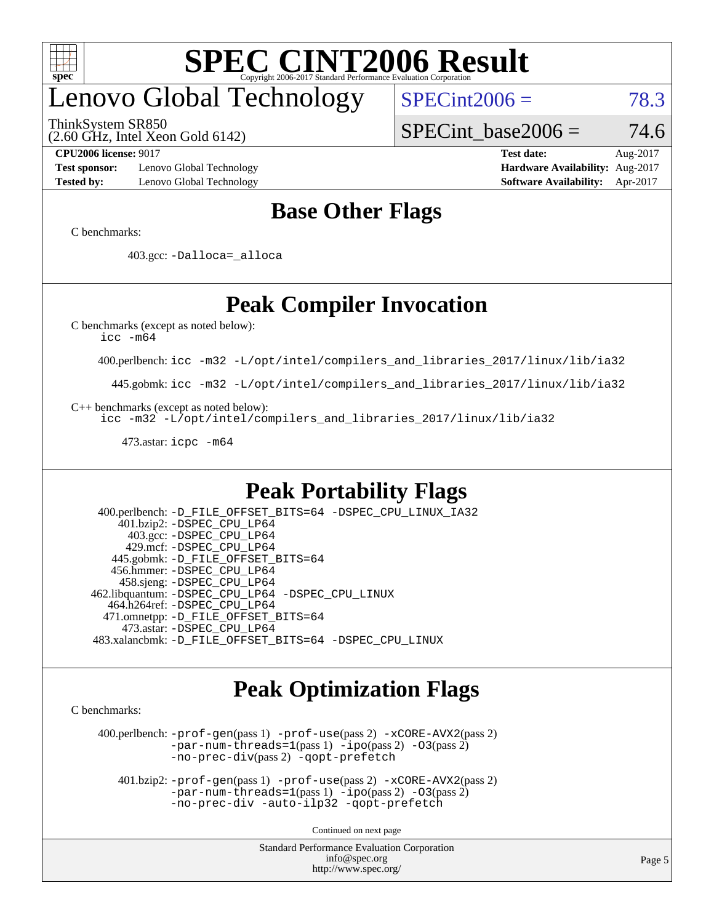

# enovo Global Technology

ThinkSystem SR850

 $SPECint2006 = 78.3$  $SPECint2006 = 78.3$ 

(2.60 GHz, Intel Xeon Gold 6142)

SPECint base2006 =  $74.6$ 

**[Test sponsor:](http://www.spec.org/auto/cpu2006/Docs/result-fields.html#Testsponsor)** Lenovo Global Technology **[Hardware Availability:](http://www.spec.org/auto/cpu2006/Docs/result-fields.html#HardwareAvailability)** Aug-2017 **[Tested by:](http://www.spec.org/auto/cpu2006/Docs/result-fields.html#Testedby)** Lenovo Global Technology **[Software Availability:](http://www.spec.org/auto/cpu2006/Docs/result-fields.html#SoftwareAvailability)** Apr-2017

**[CPU2006 license:](http://www.spec.org/auto/cpu2006/Docs/result-fields.html#CPU2006license)** 9017 **[Test date:](http://www.spec.org/auto/cpu2006/Docs/result-fields.html#Testdate)** Aug-2017

### **[Base Other Flags](http://www.spec.org/auto/cpu2006/Docs/result-fields.html#BaseOtherFlags)**

[C benchmarks](http://www.spec.org/auto/cpu2006/Docs/result-fields.html#Cbenchmarks):

403.gcc: [-Dalloca=\\_alloca](http://www.spec.org/cpu2006/results/res2017q4/cpu2006-20170918-49962.flags.html#b403.gcc_baseEXTRA_CFLAGS_Dalloca_be3056838c12de2578596ca5467af7f3)

### **[Peak Compiler Invocation](http://www.spec.org/auto/cpu2006/Docs/result-fields.html#PeakCompilerInvocation)**

[C benchmarks \(except as noted below\)](http://www.spec.org/auto/cpu2006/Docs/result-fields.html#Cbenchmarksexceptasnotedbelow):

[icc -m64](http://www.spec.org/cpu2006/results/res2017q4/cpu2006-20170918-49962.flags.html#user_CCpeak_intel_icc_64bit_bda6cc9af1fdbb0edc3795bac97ada53)

400.perlbench: [icc -m32 -L/opt/intel/compilers\\_and\\_libraries\\_2017/linux/lib/ia32](http://www.spec.org/cpu2006/results/res2017q4/cpu2006-20170918-49962.flags.html#user_peakCCLD400_perlbench_intel_icc_c29f3ff5a7ed067b11e4ec10a03f03ae)

445.gobmk: [icc -m32 -L/opt/intel/compilers\\_and\\_libraries\\_2017/linux/lib/ia32](http://www.spec.org/cpu2006/results/res2017q4/cpu2006-20170918-49962.flags.html#user_peakCCLD445_gobmk_intel_icc_c29f3ff5a7ed067b11e4ec10a03f03ae)

[C++ benchmarks \(except as noted below\):](http://www.spec.org/auto/cpu2006/Docs/result-fields.html#CXXbenchmarksexceptasnotedbelow)

[icc -m32 -L/opt/intel/compilers\\_and\\_libraries\\_2017/linux/lib/ia32](http://www.spec.org/cpu2006/results/res2017q4/cpu2006-20170918-49962.flags.html#user_CXXpeak_intel_icc_c29f3ff5a7ed067b11e4ec10a03f03ae)

473.astar: [icpc -m64](http://www.spec.org/cpu2006/results/res2017q4/cpu2006-20170918-49962.flags.html#user_peakCXXLD473_astar_intel_icpc_64bit_fc66a5337ce925472a5c54ad6a0de310)

#### **[Peak Portability Flags](http://www.spec.org/auto/cpu2006/Docs/result-fields.html#PeakPortabilityFlags)**

 400.perlbench: [-D\\_FILE\\_OFFSET\\_BITS=64](http://www.spec.org/cpu2006/results/res2017q4/cpu2006-20170918-49962.flags.html#user_peakPORTABILITY400_perlbench_file_offset_bits_64_438cf9856305ebd76870a2c6dc2689ab) [-DSPEC\\_CPU\\_LINUX\\_IA32](http://www.spec.org/cpu2006/results/res2017q4/cpu2006-20170918-49962.flags.html#b400.perlbench_peakCPORTABILITY_DSPEC_CPU_LINUX_IA32) 401.bzip2: [-DSPEC\\_CPU\\_LP64](http://www.spec.org/cpu2006/results/res2017q4/cpu2006-20170918-49962.flags.html#suite_peakPORTABILITY401_bzip2_DSPEC_CPU_LP64) 403.gcc: [-DSPEC\\_CPU\\_LP64](http://www.spec.org/cpu2006/results/res2017q4/cpu2006-20170918-49962.flags.html#suite_peakPORTABILITY403_gcc_DSPEC_CPU_LP64) 429.mcf: [-DSPEC\\_CPU\\_LP64](http://www.spec.org/cpu2006/results/res2017q4/cpu2006-20170918-49962.flags.html#suite_peakPORTABILITY429_mcf_DSPEC_CPU_LP64) 445.gobmk: [-D\\_FILE\\_OFFSET\\_BITS=64](http://www.spec.org/cpu2006/results/res2017q4/cpu2006-20170918-49962.flags.html#user_peakPORTABILITY445_gobmk_file_offset_bits_64_438cf9856305ebd76870a2c6dc2689ab) 456.hmmer: [-DSPEC\\_CPU\\_LP64](http://www.spec.org/cpu2006/results/res2017q4/cpu2006-20170918-49962.flags.html#suite_peakPORTABILITY456_hmmer_DSPEC_CPU_LP64) 458.sjeng: [-DSPEC\\_CPU\\_LP64](http://www.spec.org/cpu2006/results/res2017q4/cpu2006-20170918-49962.flags.html#suite_peakPORTABILITY458_sjeng_DSPEC_CPU_LP64) 462.libquantum: [-DSPEC\\_CPU\\_LP64](http://www.spec.org/cpu2006/results/res2017q4/cpu2006-20170918-49962.flags.html#suite_peakPORTABILITY462_libquantum_DSPEC_CPU_LP64) [-DSPEC\\_CPU\\_LINUX](http://www.spec.org/cpu2006/results/res2017q4/cpu2006-20170918-49962.flags.html#b462.libquantum_peakCPORTABILITY_DSPEC_CPU_LINUX) 464.h264ref: [-DSPEC\\_CPU\\_LP64](http://www.spec.org/cpu2006/results/res2017q4/cpu2006-20170918-49962.flags.html#suite_peakPORTABILITY464_h264ref_DSPEC_CPU_LP64) 471.omnetpp: [-D\\_FILE\\_OFFSET\\_BITS=64](http://www.spec.org/cpu2006/results/res2017q4/cpu2006-20170918-49962.flags.html#user_peakPORTABILITY471_omnetpp_file_offset_bits_64_438cf9856305ebd76870a2c6dc2689ab) 473.astar: [-DSPEC\\_CPU\\_LP64](http://www.spec.org/cpu2006/results/res2017q4/cpu2006-20170918-49962.flags.html#suite_peakPORTABILITY473_astar_DSPEC_CPU_LP64) 483.xalancbmk: [-D\\_FILE\\_OFFSET\\_BITS=64](http://www.spec.org/cpu2006/results/res2017q4/cpu2006-20170918-49962.flags.html#user_peakPORTABILITY483_xalancbmk_file_offset_bits_64_438cf9856305ebd76870a2c6dc2689ab) [-DSPEC\\_CPU\\_LINUX](http://www.spec.org/cpu2006/results/res2017q4/cpu2006-20170918-49962.flags.html#b483.xalancbmk_peakCXXPORTABILITY_DSPEC_CPU_LINUX)

#### **[Peak Optimization Flags](http://www.spec.org/auto/cpu2006/Docs/result-fields.html#PeakOptimizationFlags)**

[C benchmarks](http://www.spec.org/auto/cpu2006/Docs/result-fields.html#Cbenchmarks):

 400.perlbench: [-prof-gen](http://www.spec.org/cpu2006/results/res2017q4/cpu2006-20170918-49962.flags.html#user_peakPASS1_CFLAGSPASS1_LDCFLAGS400_perlbench_prof_gen_e43856698f6ca7b7e442dfd80e94a8fc)(pass 1) [-prof-use](http://www.spec.org/cpu2006/results/res2017q4/cpu2006-20170918-49962.flags.html#user_peakPASS2_CFLAGSPASS2_LDCFLAGS400_perlbench_prof_use_bccf7792157ff70d64e32fe3e1250b55)(pass 2) [-xCORE-AVX2](http://www.spec.org/cpu2006/results/res2017q4/cpu2006-20170918-49962.flags.html#user_peakPASS2_CFLAGSPASS2_LDCFLAGS400_perlbench_f-xCORE-AVX2)(pass 2) [-par-num-threads=1](http://www.spec.org/cpu2006/results/res2017q4/cpu2006-20170918-49962.flags.html#user_peakPASS1_CFLAGSPASS1_LDCFLAGS400_perlbench_par_num_threads_786a6ff141b4e9e90432e998842df6c2)(pass 1) [-ipo](http://www.spec.org/cpu2006/results/res2017q4/cpu2006-20170918-49962.flags.html#user_peakPASS2_CFLAGSPASS2_LDCFLAGS400_perlbench_f-ipo)(pass 2) [-O3](http://www.spec.org/cpu2006/results/res2017q4/cpu2006-20170918-49962.flags.html#user_peakPASS2_CFLAGSPASS2_LDCFLAGS400_perlbench_f-O3)(pass 2) [-no-prec-div](http://www.spec.org/cpu2006/results/res2017q4/cpu2006-20170918-49962.flags.html#user_peakPASS2_CFLAGSPASS2_LDCFLAGS400_perlbench_f-no-prec-div)(pass 2) [-qopt-prefetch](http://www.spec.org/cpu2006/results/res2017q4/cpu2006-20170918-49962.flags.html#user_peakCOPTIMIZE400_perlbench_f-qopt-prefetch)

 401.bzip2: [-prof-gen](http://www.spec.org/cpu2006/results/res2017q4/cpu2006-20170918-49962.flags.html#user_peakPASS1_CFLAGSPASS1_LDCFLAGS401_bzip2_prof_gen_e43856698f6ca7b7e442dfd80e94a8fc)(pass 1) [-prof-use](http://www.spec.org/cpu2006/results/res2017q4/cpu2006-20170918-49962.flags.html#user_peakPASS2_CFLAGSPASS2_LDCFLAGS401_bzip2_prof_use_bccf7792157ff70d64e32fe3e1250b55)(pass 2) [-xCORE-AVX2](http://www.spec.org/cpu2006/results/res2017q4/cpu2006-20170918-49962.flags.html#user_peakPASS2_CFLAGSPASS2_LDCFLAGS401_bzip2_f-xCORE-AVX2)(pass 2)  $-par-num-threads=1(pass 1) -ipo(pass 2) -O3(pass 2)$  $-par-num-threads=1(pass 1) -ipo(pass 2) -O3(pass 2)$  $-par-num-threads=1(pass 1) -ipo(pass 2) -O3(pass 2)$  $-par-num-threads=1(pass 1) -ipo(pass 2) -O3(pass 2)$  $-par-num-threads=1(pass 1) -ipo(pass 2) -O3(pass 2)$  $-par-num-threads=1(pass 1) -ipo(pass 2) -O3(pass 2)$ [-no-prec-div](http://www.spec.org/cpu2006/results/res2017q4/cpu2006-20170918-49962.flags.html#user_peakCOPTIMIZEPASS2_CFLAGSPASS2_LDCFLAGS401_bzip2_f-no-prec-div) [-auto-ilp32](http://www.spec.org/cpu2006/results/res2017q4/cpu2006-20170918-49962.flags.html#user_peakCOPTIMIZE401_bzip2_f-auto-ilp32) [-qopt-prefetch](http://www.spec.org/cpu2006/results/res2017q4/cpu2006-20170918-49962.flags.html#user_peakCOPTIMIZE401_bzip2_f-qopt-prefetch)

Continued on next page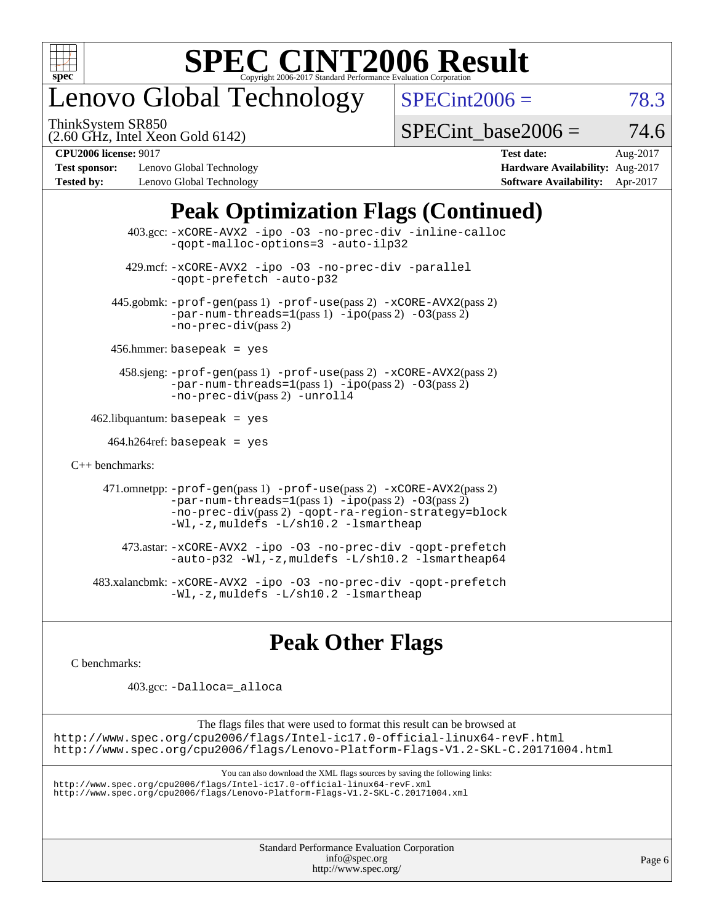

# enovo Global Technology

ThinkSystem SR850

 $SPECint2006 = 78.3$  $SPECint2006 = 78.3$ 

(2.60 GHz, Intel Xeon Gold 6142)

SPECint base2006 =  $74.6$ 

**[Test sponsor:](http://www.spec.org/auto/cpu2006/Docs/result-fields.html#Testsponsor)** Lenovo Global Technology **[Hardware Availability:](http://www.spec.org/auto/cpu2006/Docs/result-fields.html#HardwareAvailability)** Aug-2017 **[Tested by:](http://www.spec.org/auto/cpu2006/Docs/result-fields.html#Testedby)** Lenovo Global Technology **[Software Availability:](http://www.spec.org/auto/cpu2006/Docs/result-fields.html#SoftwareAvailability)** Apr-2017

**[CPU2006 license:](http://www.spec.org/auto/cpu2006/Docs/result-fields.html#CPU2006license)** 9017 **[Test date:](http://www.spec.org/auto/cpu2006/Docs/result-fields.html#Testdate)** Aug-2017

## **[Peak Optimization Flags \(Continued\)](http://www.spec.org/auto/cpu2006/Docs/result-fields.html#PeakOptimizationFlags)**

 403.gcc: [-xCORE-AVX2](http://www.spec.org/cpu2006/results/res2017q4/cpu2006-20170918-49962.flags.html#user_peakOPTIMIZE403_gcc_f-xCORE-AVX2) [-ipo](http://www.spec.org/cpu2006/results/res2017q4/cpu2006-20170918-49962.flags.html#user_peakOPTIMIZE403_gcc_f-ipo) [-O3](http://www.spec.org/cpu2006/results/res2017q4/cpu2006-20170918-49962.flags.html#user_peakOPTIMIZE403_gcc_f-O3) [-no-prec-div](http://www.spec.org/cpu2006/results/res2017q4/cpu2006-20170918-49962.flags.html#user_peakOPTIMIZE403_gcc_f-no-prec-div) [-inline-calloc](http://www.spec.org/cpu2006/results/res2017q4/cpu2006-20170918-49962.flags.html#user_peakCOPTIMIZE403_gcc_f-inline-calloc) [-qopt-malloc-options=3](http://www.spec.org/cpu2006/results/res2017q4/cpu2006-20170918-49962.flags.html#user_peakCOPTIMIZE403_gcc_f-qopt-malloc-options_0fcb435012e78f27d57f473818e45fe4) [-auto-ilp32](http://www.spec.org/cpu2006/results/res2017q4/cpu2006-20170918-49962.flags.html#user_peakCOPTIMIZE403_gcc_f-auto-ilp32) 429.mcf: [-xCORE-AVX2](http://www.spec.org/cpu2006/results/res2017q4/cpu2006-20170918-49962.flags.html#user_peakOPTIMIZE429_mcf_f-xCORE-AVX2) [-ipo](http://www.spec.org/cpu2006/results/res2017q4/cpu2006-20170918-49962.flags.html#user_peakOPTIMIZE429_mcf_f-ipo) [-O3](http://www.spec.org/cpu2006/results/res2017q4/cpu2006-20170918-49962.flags.html#user_peakOPTIMIZE429_mcf_f-O3) [-no-prec-div](http://www.spec.org/cpu2006/results/res2017q4/cpu2006-20170918-49962.flags.html#user_peakOPTIMIZE429_mcf_f-no-prec-div) [-parallel](http://www.spec.org/cpu2006/results/res2017q4/cpu2006-20170918-49962.flags.html#user_peakCOPTIMIZE429_mcf_f-parallel) [-qopt-prefetch](http://www.spec.org/cpu2006/results/res2017q4/cpu2006-20170918-49962.flags.html#user_peakCOPTIMIZE429_mcf_f-qopt-prefetch) [-auto-p32](http://www.spec.org/cpu2006/results/res2017q4/cpu2006-20170918-49962.flags.html#user_peakCOPTIMIZE429_mcf_f-auto-p32) 445.gobmk: [-prof-gen](http://www.spec.org/cpu2006/results/res2017q4/cpu2006-20170918-49962.flags.html#user_peakPASS1_CFLAGSPASS1_LDCFLAGS445_gobmk_prof_gen_e43856698f6ca7b7e442dfd80e94a8fc)(pass 1) [-prof-use](http://www.spec.org/cpu2006/results/res2017q4/cpu2006-20170918-49962.flags.html#user_peakPASS2_CFLAGSPASS2_LDCFLAGS445_gobmk_prof_use_bccf7792157ff70d64e32fe3e1250b55)(pass 2) [-xCORE-AVX2](http://www.spec.org/cpu2006/results/res2017q4/cpu2006-20170918-49962.flags.html#user_peakPASS2_CFLAGSPASS2_LDCFLAGS445_gobmk_f-xCORE-AVX2)(pass 2)  $-par-num-threads=1(pass 1) -ipo(pass 2) -O3(pass 2)$  $-par-num-threads=1(pass 1) -ipo(pass 2) -O3(pass 2)$  $-par-num-threads=1(pass 1) -ipo(pass 2) -O3(pass 2)$  $-par-num-threads=1(pass 1) -ipo(pass 2) -O3(pass 2)$  $-par-num-threads=1(pass 1) -ipo(pass 2) -O3(pass 2)$  $-par-num-threads=1(pass 1) -ipo(pass 2) -O3(pass 2)$ [-no-prec-div](http://www.spec.org/cpu2006/results/res2017q4/cpu2006-20170918-49962.flags.html#user_peakPASS2_CFLAGSPASS2_LDCFLAGS445_gobmk_f-no-prec-div)(pass 2) 456.hmmer: basepeak = yes 458.sjeng: [-prof-gen](http://www.spec.org/cpu2006/results/res2017q4/cpu2006-20170918-49962.flags.html#user_peakPASS1_CFLAGSPASS1_LDCFLAGS458_sjeng_prof_gen_e43856698f6ca7b7e442dfd80e94a8fc)(pass 1) [-prof-use](http://www.spec.org/cpu2006/results/res2017q4/cpu2006-20170918-49962.flags.html#user_peakPASS2_CFLAGSPASS2_LDCFLAGS458_sjeng_prof_use_bccf7792157ff70d64e32fe3e1250b55)(pass 2) [-xCORE-AVX2](http://www.spec.org/cpu2006/results/res2017q4/cpu2006-20170918-49962.flags.html#user_peakPASS2_CFLAGSPASS2_LDCFLAGS458_sjeng_f-xCORE-AVX2)(pass 2) [-par-num-threads=1](http://www.spec.org/cpu2006/results/res2017q4/cpu2006-20170918-49962.flags.html#user_peakPASS1_CFLAGSPASS1_LDCFLAGS458_sjeng_par_num_threads_786a6ff141b4e9e90432e998842df6c2)(pass 1) [-ipo](http://www.spec.org/cpu2006/results/res2017q4/cpu2006-20170918-49962.flags.html#user_peakPASS2_CFLAGSPASS2_LDCFLAGS458_sjeng_f-ipo)(pass 2) [-O3](http://www.spec.org/cpu2006/results/res2017q4/cpu2006-20170918-49962.flags.html#user_peakPASS2_CFLAGSPASS2_LDCFLAGS458_sjeng_f-O3)(pass 2) [-no-prec-div](http://www.spec.org/cpu2006/results/res2017q4/cpu2006-20170918-49962.flags.html#user_peakPASS2_CFLAGSPASS2_LDCFLAGS458_sjeng_f-no-prec-div)(pass 2) [-unroll4](http://www.spec.org/cpu2006/results/res2017q4/cpu2006-20170918-49962.flags.html#user_peakCOPTIMIZE458_sjeng_f-unroll_4e5e4ed65b7fd20bdcd365bec371b81f)  $462$ .libquantum: basepeak = yes  $464.h264$ ref: basepeak = yes [C++ benchmarks:](http://www.spec.org/auto/cpu2006/Docs/result-fields.html#CXXbenchmarks) 471.omnetpp: [-prof-gen](http://www.spec.org/cpu2006/results/res2017q4/cpu2006-20170918-49962.flags.html#user_peakPASS1_CXXFLAGSPASS1_LDCXXFLAGS471_omnetpp_prof_gen_e43856698f6ca7b7e442dfd80e94a8fc)(pass 1) [-prof-use](http://www.spec.org/cpu2006/results/res2017q4/cpu2006-20170918-49962.flags.html#user_peakPASS2_CXXFLAGSPASS2_LDCXXFLAGS471_omnetpp_prof_use_bccf7792157ff70d64e32fe3e1250b55)(pass 2) [-xCORE-AVX2](http://www.spec.org/cpu2006/results/res2017q4/cpu2006-20170918-49962.flags.html#user_peakPASS2_CXXFLAGSPASS2_LDCXXFLAGS471_omnetpp_f-xCORE-AVX2)(pass 2)  $-par-num-threads=1(pass 1) -ipo(pass 2) -O3(pass 2)$  $-par-num-threads=1(pass 1) -ipo(pass 2) -O3(pass 2)$  $-par-num-threads=1(pass 1) -ipo(pass 2) -O3(pass 2)$  $-par-num-threads=1(pass 1) -ipo(pass 2) -O3(pass 2)$  $-par-num-threads=1(pass 1) -ipo(pass 2) -O3(pass 2)$  $-par-num-threads=1(pass 1) -ipo(pass 2) -O3(pass 2)$ [-no-prec-div](http://www.spec.org/cpu2006/results/res2017q4/cpu2006-20170918-49962.flags.html#user_peakPASS2_CXXFLAGSPASS2_LDCXXFLAGS471_omnetpp_f-no-prec-div)(pass 2) [-qopt-ra-region-strategy=block](http://www.spec.org/cpu2006/results/res2017q4/cpu2006-20170918-49962.flags.html#user_peakCXXOPTIMIZE471_omnetpp_f-qopt-ra-region-strategy_0f7b543d62da454b380160c0e3b28f94) [-Wl,-z,muldefs](http://www.spec.org/cpu2006/results/res2017q4/cpu2006-20170918-49962.flags.html#user_peakEXTRA_LDFLAGS471_omnetpp_link_force_multiple1_74079c344b956b9658436fd1b6dd3a8a) [-L/sh10.2 -lsmartheap](http://www.spec.org/cpu2006/results/res2017q4/cpu2006-20170918-49962.flags.html#user_peakEXTRA_LIBS471_omnetpp_SmartHeap_b831f2d313e2fffa6dfe3f00ffc1f1c0) 473.astar: [-xCORE-AVX2](http://www.spec.org/cpu2006/results/res2017q4/cpu2006-20170918-49962.flags.html#user_peakOPTIMIZE473_astar_f-xCORE-AVX2) [-ipo](http://www.spec.org/cpu2006/results/res2017q4/cpu2006-20170918-49962.flags.html#user_peakOPTIMIZE473_astar_f-ipo) [-O3](http://www.spec.org/cpu2006/results/res2017q4/cpu2006-20170918-49962.flags.html#user_peakOPTIMIZE473_astar_f-O3) [-no-prec-div](http://www.spec.org/cpu2006/results/res2017q4/cpu2006-20170918-49962.flags.html#user_peakOPTIMIZE473_astar_f-no-prec-div) [-qopt-prefetch](http://www.spec.org/cpu2006/results/res2017q4/cpu2006-20170918-49962.flags.html#user_peakCXXOPTIMIZE473_astar_f-qopt-prefetch) [-auto-p32](http://www.spec.org/cpu2006/results/res2017q4/cpu2006-20170918-49962.flags.html#user_peakCXXOPTIMIZE473_astar_f-auto-p32) [-Wl,-z,muldefs](http://www.spec.org/cpu2006/results/res2017q4/cpu2006-20170918-49962.flags.html#user_peakEXTRA_LDFLAGS473_astar_link_force_multiple1_74079c344b956b9658436fd1b6dd3a8a) [-L/sh10.2 -lsmartheap64](http://www.spec.org/cpu2006/results/res2017q4/cpu2006-20170918-49962.flags.html#user_peakEXTRA_LIBS473_astar_SmartHeap64_63911d860fc08c15fa1d5bf319b9d8d5) 483.xalancbmk: [-xCORE-AVX2](http://www.spec.org/cpu2006/results/res2017q4/cpu2006-20170918-49962.flags.html#user_peakOPTIMIZE483_xalancbmk_f-xCORE-AVX2) [-ipo](http://www.spec.org/cpu2006/results/res2017q4/cpu2006-20170918-49962.flags.html#user_peakOPTIMIZE483_xalancbmk_f-ipo) [-O3](http://www.spec.org/cpu2006/results/res2017q4/cpu2006-20170918-49962.flags.html#user_peakOPTIMIZE483_xalancbmk_f-O3) [-no-prec-div](http://www.spec.org/cpu2006/results/res2017q4/cpu2006-20170918-49962.flags.html#user_peakOPTIMIZE483_xalancbmk_f-no-prec-div) [-qopt-prefetch](http://www.spec.org/cpu2006/results/res2017q4/cpu2006-20170918-49962.flags.html#user_peakCXXOPTIMIZE483_xalancbmk_f-qopt-prefetch) [-Wl,-z,muldefs](http://www.spec.org/cpu2006/results/res2017q4/cpu2006-20170918-49962.flags.html#user_peakEXTRA_LDFLAGS483_xalancbmk_link_force_multiple1_74079c344b956b9658436fd1b6dd3a8a) [-L/sh10.2 -lsmartheap](http://www.spec.org/cpu2006/results/res2017q4/cpu2006-20170918-49962.flags.html#user_peakEXTRA_LIBS483_xalancbmk_SmartHeap_b831f2d313e2fffa6dfe3f00ffc1f1c0)

## **[Peak Other Flags](http://www.spec.org/auto/cpu2006/Docs/result-fields.html#PeakOtherFlags)**

[C benchmarks](http://www.spec.org/auto/cpu2006/Docs/result-fields.html#Cbenchmarks):

403.gcc: [-Dalloca=\\_alloca](http://www.spec.org/cpu2006/results/res2017q4/cpu2006-20170918-49962.flags.html#b403.gcc_peakEXTRA_CFLAGS_Dalloca_be3056838c12de2578596ca5467af7f3)

The flags files that were used to format this result can be browsed at <http://www.spec.org/cpu2006/flags/Intel-ic17.0-official-linux64-revF.html> <http://www.spec.org/cpu2006/flags/Lenovo-Platform-Flags-V1.2-SKL-C.20171004.html>

You can also download the XML flags sources by saving the following links:

<http://www.spec.org/cpu2006/flags/Intel-ic17.0-official-linux64-revF.xml> <http://www.spec.org/cpu2006/flags/Lenovo-Platform-Flags-V1.2-SKL-C.20171004.xml>